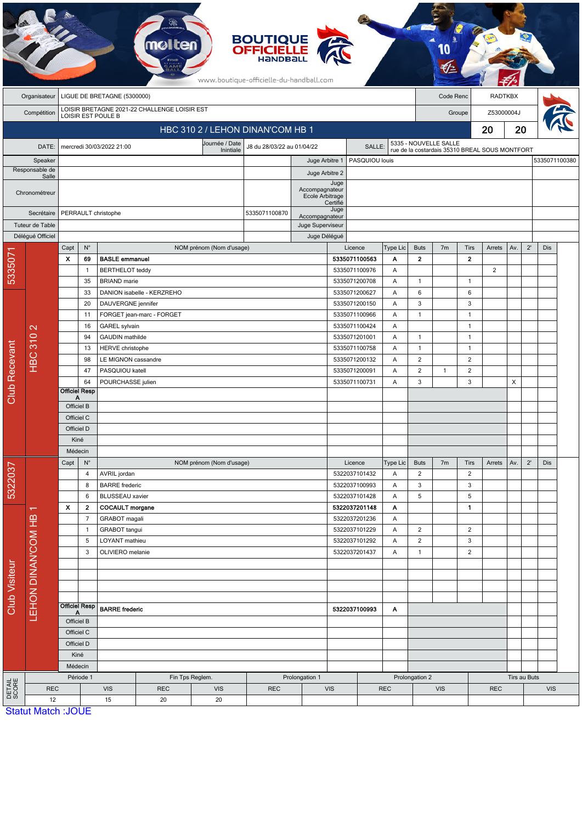| <b>BOUTIQUE</b><br><b>OFFICIELLE</b><br>HandBal<br>www.boutique-officielle-du-handball.com |                                               |                                                          |                                         |                                                           |                            |                                |                                  |                                     |                   |                                |                                                                                   |                                  |                |                               |                |              |              |               |  |
|--------------------------------------------------------------------------------------------|-----------------------------------------------|----------------------------------------------------------|-----------------------------------------|-----------------------------------------------------------|----------------------------|--------------------------------|----------------------------------|-------------------------------------|-------------------|--------------------------------|-----------------------------------------------------------------------------------|----------------------------------|----------------|-------------------------------|----------------|--------------|--------------|---------------|--|
|                                                                                            | Organisateur                                  |                                                          |                                         | LIGUE DE BRETAGNE (5300000)                               |                            |                                |                                  |                                     |                   |                                |                                                                                   |                                  | Code Renc      |                               | <b>RADTKBX</b> |              |              |               |  |
| LOISIR BRETAGNE 2021-22 CHALLENGE LOISIR EST<br>Compétition                                |                                               |                                                          |                                         |                                                           |                            |                                |                                  |                                     |                   |                                |                                                                                   | Groupe                           |                |                               | Z53000004J     |              |              |               |  |
| LOISIR EST POULE B                                                                         |                                               |                                                          |                                         |                                                           |                            |                                |                                  |                                     |                   |                                |                                                                                   |                                  |                |                               |                |              |              |               |  |
|                                                                                            |                                               |                                                          |                                         |                                                           |                            |                                | HBC 310 2 / LEHON DINAN'COM HB 1 |                                     |                   |                                |                                                                                   |                                  |                |                               | 20             | 20           |              |               |  |
|                                                                                            | DATE:                                         | Journée / Date<br>mercredi 30/03/2022 21:00<br>Inintiale |                                         |                                                           |                            |                                |                                  | J8 du 28/03/22 au 01/04/22          |                   |                                | 5335 - NOUVELLE SALLE<br>SALLE:<br>rue de la costardais 35310 BREAL SOUS MONTFORT |                                  |                |                               |                |              |              |               |  |
| Speaker                                                                                    |                                               |                                                          |                                         |                                                           |                            |                                |                                  | Juge Arbitre 1                      |                   | PASQUIOU louis                 |                                                                                   |                                  |                |                               |                |              |              | 5335071100380 |  |
|                                                                                            | Responsable de<br>Salle                       |                                                          |                                         |                                                           |                            |                                | Juge Arbitre 2                   |                                     |                   |                                |                                                                                   |                                  |                |                               |                |              |              |               |  |
| Chronométreur                                                                              |                                               |                                                          |                                         |                                                           |                            |                                | Accompagnateur                   | Juge<br>Ecole Arbitrage<br>Certifié |                   |                                |                                                                                   |                                  |                |                               |                |              |              |               |  |
|                                                                                            | Secrétaire                                    |                                                          | PERRAULT christophe                     |                                                           |                            |                                | 5335071100870                    | Juge<br>Accompagnateur              |                   |                                |                                                                                   |                                  |                |                               |                |              |              |               |  |
| Tuteur de Table                                                                            |                                               |                                                          |                                         |                                                           |                            | Juge Superviseur               |                                  |                                     |                   |                                |                                                                                   |                                  |                |                               |                |              |              |               |  |
|                                                                                            | Délégué Officiel                              |                                                          |                                         |                                                           |                            |                                |                                  |                                     |                   | Juge Délégué                   |                                                                                   |                                  |                |                               |                |              |              |               |  |
|                                                                                            |                                               | Capt                                                     | $N^{\circ}$                             |                                                           |                            | NOM prénom (Nom d'usage)       |                                  |                                     |                   | Licence                        | Type Lic                                                                          | <b>Buts</b>                      | 7 <sub>m</sub> | Tirs                          | Arrets         | Av.          | $2^{\prime}$ | Dis           |  |
| 533507                                                                                     |                                               | $\boldsymbol{\mathsf{x}}$                                | 69                                      | <b>BASLE</b> emmanuel                                     |                            |                                |                                  |                                     |                   | 5335071100563                  | A                                                                                 | $\mathbf{2}$                     |                | $\mathbf{2}$                  |                |              |              |               |  |
|                                                                                            |                                               |                                                          | $\mathbf{1}$                            | <b>BERTHELOT</b> teddy<br><b>BRIAND</b> marie             |                            |                                |                                  |                                     |                   | 5335071100976<br>5335071200708 | Α                                                                                 | $\mathbf{1}$                     |                |                               | 2              |              |              |               |  |
|                                                                                            |                                               | 35<br>33                                                 |                                         |                                                           | DANION isabelle - KERZREHO |                                |                                  |                                     |                   | 5335071200627                  | Α<br>Α                                                                            | 6                                |                | $\mathbf{1}$<br>6             |                |              |              |               |  |
|                                                                                            |                                               |                                                          | 20                                      | DAUVERGNE jennifer                                        |                            |                                |                                  |                                     |                   | 5335071200150                  | Α                                                                                 | $\sqrt{3}$                       |                | 3                             |                |              |              |               |  |
|                                                                                            |                                               | 11                                                       |                                         |                                                           | FORGET jean-marc - FORGET  |                                |                                  |                                     |                   | 5335071100966                  |                                                                                   | $\mathbf{1}$                     |                | $\overline{1}$                |                |              |              |               |  |
|                                                                                            | $\mathbf{\Omega}$                             |                                                          | 16<br><b>GAREL</b> sylvain              |                                                           |                            |                                |                                  |                                     |                   | 5335071100424                  | Α                                                                                 |                                  |                | $\overline{1}$                |                |              |              |               |  |
|                                                                                            |                                               |                                                          | <b>GAUDIN</b> mathilde<br>94            |                                                           |                            |                                |                                  | 5335071201001<br>Α                  |                   |                                | $\mathbf{1}$                                                                      |                                  | $\mathbf{1}$   |                               |                |              |              |               |  |
|                                                                                            |                                               |                                                          | 13                                      | <b>HERVE</b> christophe                                   |                            |                                |                                  |                                     |                   | 5335071100758                  |                                                                                   | $\mathbf{1}$                     |                | $\mathbf{1}$                  |                |              |              |               |  |
|                                                                                            | <b>HBC 310</b>                                |                                                          | 98<br>LE MIGNON cassandre               |                                                           |                            | 5335071200132                  |                                  |                                     | Α                 | $\overline{2}$                 |                                                                                   | $\overline{2}$                   |                |                               |                |              |              |               |  |
| <b>Club Recevant</b>                                                                       |                                               |                                                          | 47<br>PASQUIOU katell                   |                                                           |                            |                                |                                  | 5335071200091                       |                   | Α                              | $\overline{2}$                                                                    | 1                                | $\overline{2}$ |                               |                |              |              |               |  |
|                                                                                            |                                               |                                                          | 64<br>POURCHASSE julien                 |                                                           |                            |                                | 5335071100731                    |                                     |                   | Α                              | 3                                                                                 |                                  | 3              |                               | X              |              |              |               |  |
|                                                                                            |                                               |                                                          | <b>Officiel Resp</b><br>A               |                                                           |                            |                                |                                  |                                     |                   |                                |                                                                                   |                                  |                |                               |                |              |              |               |  |
|                                                                                            |                                               | Officiel B                                               |                                         |                                                           |                            |                                |                                  |                                     |                   |                                |                                                                                   |                                  |                |                               |                |              |              |               |  |
|                                                                                            |                                               | Officiel C                                               |                                         |                                                           |                            |                                |                                  |                                     |                   |                                |                                                                                   |                                  |                |                               |                |              |              |               |  |
|                                                                                            |                                               | Officiel D                                               |                                         |                                                           |                            |                                |                                  |                                     |                   |                                |                                                                                   |                                  |                |                               |                |              |              |               |  |
|                                                                                            |                                               | Kiné<br>Médecin                                          |                                         |                                                           |                            |                                |                                  |                                     |                   |                                |                                                                                   |                                  |                |                               |                |              |              |               |  |
| 5322037                                                                                    | $\overline{\mathbf{r}}$<br>LEHON DINAN'COM HB | Capt                                                     | $\mathsf{N}^\circ$                      |                                                           |                            | NOM prénom (Nom d'usage)       |                                  |                                     |                   | Licence                        | Type Lic                                                                          | <b>Buts</b>                      | 7 <sub>m</sub> | Tirs                          | Arrets         | Av.          | $2^{\prime}$ | Dis           |  |
|                                                                                            |                                               |                                                          | $\overline{4}$                          | AVRIL jordan                                              |                            |                                |                                  |                                     |                   | 5322037101432                  | Α                                                                                 | $\overline{2}$                   |                | $\overline{2}$                |                |              |              |               |  |
|                                                                                            |                                               |                                                          | 8                                       | <b>BARRE</b> frederic                                     |                            |                                |                                  |                                     |                   | 5322037100993                  | Α                                                                                 | $\ensuremath{\mathsf{3}}$        |                | 3                             |                |              |              |               |  |
|                                                                                            |                                               |                                                          | 6                                       | <b>BLUSSEAU</b> xavier                                    |                            |                                |                                  |                                     |                   | 5322037101428                  | Α                                                                                 | 5                                |                | 5                             |                |              |              |               |  |
|                                                                                            |                                               | $\boldsymbol{\mathsf{x}}$                                | $\mathbf{2}$                            | <b>COCAULT</b> morgane                                    |                            |                                |                                  |                                     |                   | 5322037201148                  | A                                                                                 |                                  |                | $\mathbf{1}$                  |                |              |              |               |  |
| Club Visiteur                                                                              |                                               |                                                          | $\overline{7}$                          | GRABOT magali                                             |                            |                                |                                  |                                     |                   | 5322037201236                  | A                                                                                 |                                  |                |                               |                |              |              |               |  |
|                                                                                            |                                               | $\mathbf{1}$<br>5                                        |                                         | GRABOT tangui                                             |                            |                                |                                  |                                     |                   | 5322037101229                  | Α                                                                                 | $\overline{2}$<br>$\overline{2}$ |                | $\overline{2}$<br>$\mathsf 3$ |                |              |              |               |  |
|                                                                                            |                                               |                                                          | LOYANT mathieu<br>3<br>OLIVIERO melanie |                                                           |                            | 5322037101292<br>5322037201437 |                                  | Α<br>A                              | $\mathbf{1}$      |                                | $\overline{2}$                                                                    |                                  |                |                               |                |              |              |               |  |
|                                                                                            |                                               |                                                          |                                         |                                                           |                            |                                |                                  |                                     |                   |                                |                                                                                   |                                  |                |                               |                |              |              |               |  |
|                                                                                            |                                               |                                                          |                                         |                                                           |                            |                                |                                  |                                     |                   |                                |                                                                                   |                                  |                |                               |                |              |              |               |  |
|                                                                                            |                                               |                                                          |                                         |                                                           |                            |                                |                                  |                                     |                   |                                |                                                                                   |                                  |                |                               |                |              |              |               |  |
|                                                                                            |                                               |                                                          |                                         |                                                           |                            |                                |                                  |                                     |                   |                                |                                                                                   |                                  |                |                               |                |              |              |               |  |
|                                                                                            |                                               | <b>Officiel Resp</b><br>Α                                |                                         | <b>BARRE</b> frederic                                     |                            |                                | 5322037100993<br>A               |                                     |                   |                                |                                                                                   |                                  |                |                               |                |              |              |               |  |
|                                                                                            |                                               | Officiel B                                               |                                         |                                                           |                            |                                |                                  |                                     |                   |                                |                                                                                   |                                  |                |                               |                |              |              |               |  |
|                                                                                            |                                               | Officiel C                                               |                                         |                                                           |                            |                                |                                  |                                     |                   |                                |                                                                                   |                                  |                |                               |                |              |              |               |  |
|                                                                                            |                                               | Officiel D                                               |                                         |                                                           |                            |                                |                                  |                                     |                   |                                |                                                                                   |                                  |                |                               |                |              |              |               |  |
|                                                                                            |                                               |                                                          | Kiné                                    |                                                           |                            |                                |                                  |                                     |                   |                                |                                                                                   |                                  |                |                               |                |              |              |               |  |
|                                                                                            |                                               |                                                          | Médecin<br>Période 1                    |                                                           |                            |                                |                                  |                                     |                   |                                |                                                                                   |                                  |                |                               |                | Tirs au Buts |              |               |  |
| <b>DETAIL</b><br>SCORE                                                                     | <b>REC</b>                                    |                                                          |                                         | Fin Tps Reglem.<br><b>VIS</b><br><b>REC</b><br><b>VIS</b> |                            |                                | Prolongation 1<br><b>REC</b>     |                                     | VIS<br><b>REC</b> |                                |                                                                                   | Prolongation 2<br><b>VIS</b>     |                |                               | <b>REC</b>     |              |              | <b>VIS</b>    |  |
|                                                                                            | 12                                            |                                                          |                                         | 15                                                        | 20                         | 20                             |                                  |                                     |                   |                                |                                                                                   |                                  |                |                               |                |              |              |               |  |
|                                                                                            | <b>Statut Match: JOUE</b>                     |                                                          |                                         |                                                           |                            |                                |                                  |                                     |                   |                                |                                                                                   |                                  |                |                               |                |              |              |               |  |